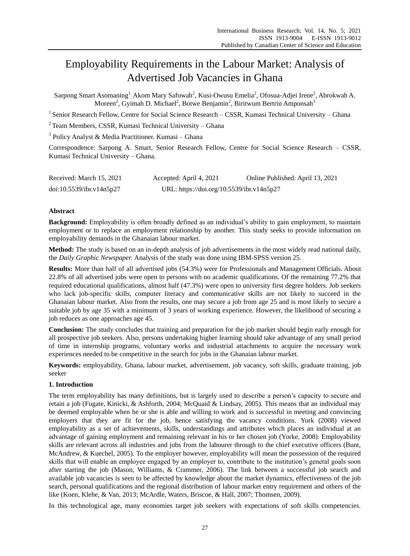# Employability Requirements in the Labour Market: Analysis of Advertised Job Vacancies in Ghana

Sarpong Smart Asomaning<sup>1</sup>, Akom Mary Safowah<sup>2</sup>, Kusi-Owusu Emelia<sup>2</sup>, Ofosua-Adjei Irene<sup>2</sup>, Abrokwah A. Moreen<sup>2</sup>, Gyimah D. Michael<sup>2</sup>, Botwe Benjamin<sup>2</sup>, Biritwum Bertrin Amponsah<sup>3</sup>

<sup>1</sup> Senior Research Fellow, Centre for Social Science Research - CSSR, Kumasi Technical University - Ghana

 $2$  Team Members, CSSR, Kumasi Technical University – Ghana

<sup>3</sup> Policy Analyst & Media Practitioner. Kumasi - Ghana

Correspondence: Sarpong A. Smart, Senior Research Fellow, Centre for Social Science Research – CSSR, Kumasi Technical University – Ghana.

| Received: March 15, 2021 | Accepted: April 4, 2021                   | Online Published: April 13, 2021 |
|--------------------------|-------------------------------------------|----------------------------------|
| doi:10.5539/ibr.v14n5p27 | URL: https://doi.org/10.5539/ibr.v14n5p27 |                                  |

## **Abstract**

**Background:** Employability is often broadly defined as an individual's ability to gain employment, to maintain employment or to replace an employment relationship by another. This study seeks to provide information on employability demands in the Ghanaian labour market.

**Method:** The study is based on an in-depth analysis of job advertisements in the most widely read national daily, the *Daily Graphic Newspaper.* Analysis of the study was done using IBM-SPSS version 25.

**Results:** More than half of all advertised jobs (54.3%) were for Professionals and Management Officials. About 22.8% of all advertised jobs were open to persons with no academic qualifications. Of the remaining 77.2% that required educational qualifications, almost half (47.3%) were open to university first degree holders. Job seekers who lack job-specific skills, computer literacy and communicative skills are not likely to succeed in the Ghanaian labour market. Also from the results, one may secure a job from age 25 and is most likely to secure a suitable job by age 35 with a minimum of 3 years of working experience. However, the likelihood of securing a job reduces as one approaches age 45.

**Conclusion:** The study concludes that training and preparation for the job market should begin early enough for all prospective job seekers. Also, persons undertaking higher learning should take advantage of any small period of time in internship programs, voluntary works and industrial attachments to acquire the necessary work experiences needed to be competitive in the search for jobs in the Ghanaian labour market.

**Keywords:** employability, Ghana, labour market, advertisement, job vacancy, soft skills, graduate training, job seeker

## **1. Introduction**

The term employability has many definitions, but is largely used to describe a person's capacity to secure and retain a job (Fugate, Kinicki, & Ashforth, 2004; McQuaid & Lindsay, 2005). This means that an individual may be deemed employable when he or she is able and willing to work and is successful in meeting and convincing employers that they are fit for the job, hence satisfying the vacancy conditions. York (2008) viewed employability as a set of achievements, skills, understandings and attributes which places an individual at an advantage of gaining employment and remaining relevant in his or her chosen job (Yorke, 2008). Employability skills are relevant across all industries and jobs from the labourer through to the chief executive officers (Bunt, McAndrew, & Kuechel, 2005). To the employer however, employability will mean the possession of the required skills that will enable an employee engaged by an employer to, contribute to the institution's general goals soon after starting the job (Mason, Williams, & Crammer, 2006). The link between a successful job search and available job vacancies is seen to be affected by knowledge about the market dynamics, effectiveness of the job search, personal qualifications and the regional distribution of labour market entry requirement and others of the like (Koen, Klehe, & Van, 2013; McArdle, Waters, Briscoe, & Hall, 2007; Thomsen, 2009).

In this technological age, many economies target job seekers with expectations of soft skills competencies.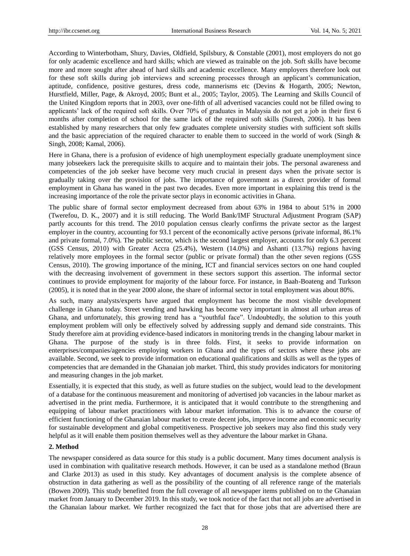According to Winterbotham, Shury, Davies, Oldfield, Spilsbury, & Constable (2001), most employers do not go for only academic excellence and hard skills; which are viewed as trainable on the job. Soft skills have become more and more sought after ahead of hard skills and academic excellence. Many employers therefore look out for these soft skills during job interviews and screening processes through an applicant's communication, aptitude, confidence, positive gestures, dress code, mannerisms etc (Devins & Hogarth, 2005; Newton, Hurstfield, Miller, Page, & Akroyd, 2005; Bunt et al., 2005; Taylor, 2005). The Learning and Skills Council of the United Kingdom reports that in 2003, over one-fifth of all advertised vacancies could not be filled owing to applicants' lack of the required soft skills. Over 70% of graduates in Malaysia do not get a job in their first 6 months after completion of school for the same lack of the required soft skills (Suresh, 2006). It has been established by many researchers that only few graduates complete university studies with sufficient soft skills and the basic appreciation of the required character to enable them to succeed in the world of work (Singh & Singh, 2008; Kamal, 2006).

Here in Ghana, there is a profusion of evidence of high unemployment especially graduate unemployment since many jobseekers lack the prerequisite skills to acquire and to maintain their jobs. The personal awareness and competencies of the job seeker have become very much crucial in present days when the private sector is gradually taking over the provision of jobs. The importance of government as a direct provider of formal employment in Ghana has waned in the past two decades. Even more important in explaining this trend is the increasing importance of the role the private sector plays in economic activities in Ghana.

The public share of formal sector employment decreased from about 63% in 1984 to about 51% in 2000 (Twerefou, D. K., 2007) and it is still reducing. The World Bank/IMF Structural Adjustment Program (SAP) partly accounts for this trend. The 2010 population census clearly confirms the private sector as the largest employer in the country, accounting for 93.1 percent of the economically active persons (private informal, 86.1% and private formal, 7.0%). The public sector, which is the second largest employer, accounts for only 6.3 percent (GSS Census, 2010) with Greater Accra (25.4%), Western (14.0%) and Ashanti (13.7%) regions having relatively more employees in the formal sector (public or private formal) than the other seven regions (GSS Census, 2010). The growing importance of the mining, ICT and financial services sectors on one hand coupled with the decreasing involvement of government in these sectors support this assertion. The informal sector continues to provide employment for majority of the labour force. For instance, in Baah-Boateng and Turkson (2005), it is noted that in the year 2000 alone, the share of informal sector in total employment was about 80%.

As such, many analysts/experts have argued that employment has become the most visible development challenge in Ghana today. Street vending and hawking has become very important in almost all urban areas of Ghana, and unfortunately, this growing trend has a "youthful face". Undoubtedly, the solution to this youth employment problem will only be effectively solved by addressing supply and demand side constraints. This Study therefore aim at providing evidence-based indicators in monitoring trends in the changing labour market in Ghana. The purpose of the study is in three folds. First, it seeks to provide information on enterprises/companies/agencies employing workers in Ghana and the types of sectors where these jobs are available. Second, we seek to provide information on educational qualifications and skills as well as the types of competencies that are demanded in the Ghanaian job market. Third, this study provides indicators for monitoring and measuring changes in the job market.

Essentially, it is expected that this study, as well as future studies on the subject, would lead to the development of a database for the continuous measurement and monitoring of advertised job vacancies in the labour market as advertised in the print media. Furthermore, it is anticipated that it would contribute to the strengthening and equipping of labour market practitioners with labour market information. This is to advance the course of efficient functioning of the Ghanaian labour market to create decent jobs, improve income and economic security for sustainable development and global competitiveness. Prospective job seekers may also find this study very helpful as it will enable them position themselves well as they adventure the labour market in Ghana.

## **2. Method**

The newspaper considered as data source for this study is a public document. Many times document analysis is used in combination with qualitative research methods. However, it can be used as a standalone method (Braun and Clarke 2013) as used in this study. Key advantages of document analysis is the complete absence of obstruction in data gathering as well as the possibility of the counting of all reference range of the materials (Bowen 2009). This study benefited from the full coverage of all newspaper items published on to the Ghanaian market from January to December 2019. In this study, we took notice of the fact that not all jobs are advertised in the Ghanaian labour market. We further recognized the fact that for those jobs that are advertised there are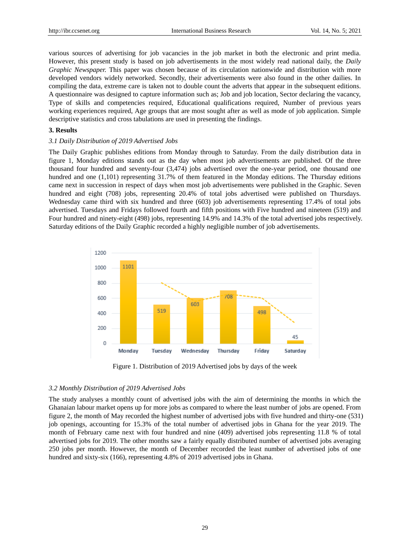various sources of advertising for job vacancies in the job market in both the electronic and print media. However, this present study is based on job advertisements in the most widely read national daily, the *Daily Graphic Newspaper.* This paper was chosen because of its circulation nationwide and distribution with more developed vendors widely networked. Secondly, their advertisements were also found in the other dailies. In compiling the data, extreme care is taken not to double count the adverts that appear in the subsequent editions. A questionnaire was designed to capture information such as; Job and job location, Sector declaring the vacancy, Type of skills and competencies required, Educational qualifications required, Number of previous years working experiences required, Age groups that are most sought after as well as mode of job application. Simple descriptive statistics and cross tabulations are used in presenting the findings.

# **3. Results**

## *3.1 Daily Distribution of 2019 Advertised Jobs*

The Daily Graphic publishes editions from Monday through to Saturday. From the daily distribution data in figure 1, Monday editions stands out as the day when most job advertisements are published. Of the three thousand four hundred and seventy-four (3,474) jobs advertised over the one-year period, one thousand one hundred and one (1,101) representing 31.7% of them featured in the Monday editions. The Thursday editions came next in succession in respect of days when most job advertisements were published in the Graphic. Seven hundred and eight (708) jobs, representing 20.4% of total jobs advertised were published on Thursdays. Wednesday came third with six hundred and three (603) job advertisements representing 17.4% of total jobs advertised. Tuesdays and Fridays followed fourth and fifth positions with Five hundred and nineteen (519) and Four hundred and ninety-eight (498) jobs, representing 14.9% and 14.3% of the total advertised jobs respectively. Saturday editions of the Daily Graphic recorded a highly negligible number of job advertisements.



Figure 1. Distribution of 2019 Advertised jobs by days of the week

## *3.2 Monthly Distribution of 2019 Advertised Jobs*

The study analyses a monthly count of advertised jobs with the aim of determining the months in which the Ghanaian labour market opens up for more jobs as compared to where the least number of jobs are opened. From figure 2, the month of May recorded the highest number of advertised jobs with five hundred and thirty-one (531) job openings, accounting for 15.3% of the total number of advertised jobs in Ghana for the year 2019. The month of February came next with four hundred and nine (409) advertised jobs representing 11.8 % of total advertised jobs for 2019. The other months saw a fairly equally distributed number of advertised jobs averaging 250 jobs per month. However, the month of December recorded the least number of advertised jobs of one hundred and sixty-six (166), representing 4.8% of 2019 advertised jobs in Ghana.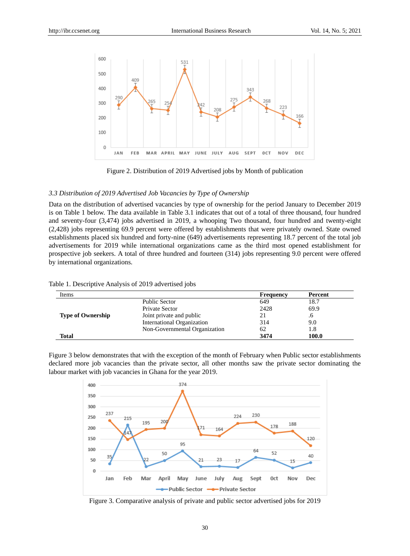

Figure 2. Distribution of 2019 Advertised jobs by Month of publication

## *3.3 Distribution of 2019 Advertised Job Vacancies by Type of Ownership*

Data on the distribution of advertised vacancies by type of ownership for the period January to December 2019 is on Table 1 below. The data available in Table 3.1 indicates that out of a total of three thousand, four hundred and seventy-four (3,474) jobs advertised in 2019, a whooping Two thousand, four hundred and twenty-eight (2,428) jobs representing 69.9 percent were offered by establishments that were privately owned. State owned establishments placed six hundred and forty-nine (649) advertisements representing 18.7 percent of the total job advertisements for 2019 while international organizations came as the third most opened establishment for prospective job seekers. A total of three hundred and fourteen (314) jobs representing 9.0 percent were offered by international organizations.

|  |  | Table 1. Descriptive Analysis of 2019 advertised jobs |  |
|--|--|-------------------------------------------------------|--|
|  |  |                                                       |  |

| Items                    |                               | <b>Frequency</b> | Percent |
|--------------------------|-------------------------------|------------------|---------|
|                          | Public Sector                 | 649              | 18.7    |
|                          | Private Sector                | 2428             | 69.9    |
| <b>Type of Ownership</b> | Joint private and public      | 21               | .6      |
|                          | International Organization    | 314              | 9.0     |
|                          | Non-Governmental Organization | 62               | 1.8     |
| <b>Total</b>             |                               | 3474             | 100.0   |

Figure 3 below demonstrates that with the exception of the month of February when Public sector establishments declared more job vacancies than the private sector, all other months saw the private sector dominating the labour market with job vacancies in Ghana for the year 2019.



Figure 3. Comparative analysis of private and public sector advertised jobs for 2019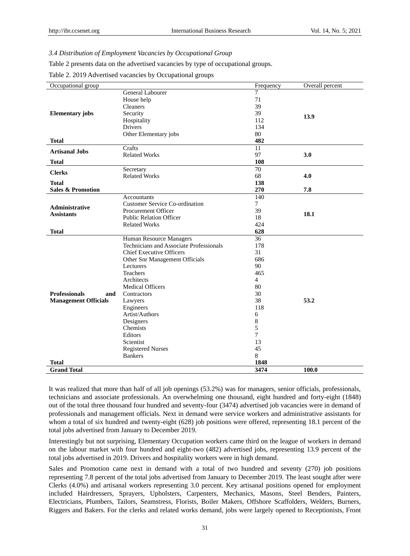# *3.4 Distribution of Employment Vacancies by Occupational Group*

Table 2 presents data on the advertised vacancies by type of occupational groups.

Table 2. 2019 Advertised vacancies by Occupational groups

| 7<br>General Labourer<br>71<br>House help<br>39<br><b>Cleaners</b><br>39<br><b>Elementary</b> jobs<br>Security<br>13.9<br>Hospitality<br>112<br>134<br><b>Drivers</b><br>80<br>Other Elementary jobs<br>482<br><b>Total</b><br>Crafts<br>11<br><b>Artisanal Jobs</b><br>97<br><b>Related Works</b><br>3.0<br>108<br><b>Total</b><br>70<br>Secretary<br><b>Clerks</b><br><b>Related Works</b><br>68<br>4.0<br><b>Total</b><br>138<br><b>Sales &amp; Promotion</b><br>270<br>7.8<br>140<br>Accountants<br><b>Customer Service Co-ordination</b><br>7<br><b>Administrative</b><br>39<br>Procurement Officer<br>18.1<br><b>Assistants</b><br><b>Public Relation Officer</b><br>18<br>424<br><b>Related Works</b><br>628<br><b>Total</b><br>36<br>Human Resource Managers<br>Technicians and Associate Professionals<br>178<br>31<br><b>Chief Executive Officers</b><br>686<br>Other Snr Management Officials<br>90<br>Lecturers<br>465<br>Teachers<br>$\overline{4}$<br>Architects<br><b>Medical Officers</b><br>80<br><b>Professionals</b><br>30<br>Contractors<br>and<br>38<br>53.2<br><b>Management Officials</b><br>Lawyers<br>118<br>Engineers<br>Artist/Authors<br>6<br>$\,8\,$<br>Designers<br>5<br>Chemists<br>7<br>Editors<br>13<br>Scientist<br>45<br><b>Registered Nurses</b><br>8<br><b>Bankers</b><br>1848<br>Total<br><b>Grand Total</b><br>3474<br>100.0 | Occupational group | Frequency | Overall percent |
|---------------------------------------------------------------------------------------------------------------------------------------------------------------------------------------------------------------------------------------------------------------------------------------------------------------------------------------------------------------------------------------------------------------------------------------------------------------------------------------------------------------------------------------------------------------------------------------------------------------------------------------------------------------------------------------------------------------------------------------------------------------------------------------------------------------------------------------------------------------------------------------------------------------------------------------------------------------------------------------------------------------------------------------------------------------------------------------------------------------------------------------------------------------------------------------------------------------------------------------------------------------------------------------------------------------------------------------------------------------------|--------------------|-----------|-----------------|
|                                                                                                                                                                                                                                                                                                                                                                                                                                                                                                                                                                                                                                                                                                                                                                                                                                                                                                                                                                                                                                                                                                                                                                                                                                                                                                                                                                     |                    |           |                 |
|                                                                                                                                                                                                                                                                                                                                                                                                                                                                                                                                                                                                                                                                                                                                                                                                                                                                                                                                                                                                                                                                                                                                                                                                                                                                                                                                                                     |                    |           |                 |
|                                                                                                                                                                                                                                                                                                                                                                                                                                                                                                                                                                                                                                                                                                                                                                                                                                                                                                                                                                                                                                                                                                                                                                                                                                                                                                                                                                     |                    |           |                 |
|                                                                                                                                                                                                                                                                                                                                                                                                                                                                                                                                                                                                                                                                                                                                                                                                                                                                                                                                                                                                                                                                                                                                                                                                                                                                                                                                                                     |                    |           |                 |
|                                                                                                                                                                                                                                                                                                                                                                                                                                                                                                                                                                                                                                                                                                                                                                                                                                                                                                                                                                                                                                                                                                                                                                                                                                                                                                                                                                     |                    |           |                 |
|                                                                                                                                                                                                                                                                                                                                                                                                                                                                                                                                                                                                                                                                                                                                                                                                                                                                                                                                                                                                                                                                                                                                                                                                                                                                                                                                                                     |                    |           |                 |
|                                                                                                                                                                                                                                                                                                                                                                                                                                                                                                                                                                                                                                                                                                                                                                                                                                                                                                                                                                                                                                                                                                                                                                                                                                                                                                                                                                     |                    |           |                 |
|                                                                                                                                                                                                                                                                                                                                                                                                                                                                                                                                                                                                                                                                                                                                                                                                                                                                                                                                                                                                                                                                                                                                                                                                                                                                                                                                                                     |                    |           |                 |
|                                                                                                                                                                                                                                                                                                                                                                                                                                                                                                                                                                                                                                                                                                                                                                                                                                                                                                                                                                                                                                                                                                                                                                                                                                                                                                                                                                     |                    |           |                 |
|                                                                                                                                                                                                                                                                                                                                                                                                                                                                                                                                                                                                                                                                                                                                                                                                                                                                                                                                                                                                                                                                                                                                                                                                                                                                                                                                                                     |                    |           |                 |
|                                                                                                                                                                                                                                                                                                                                                                                                                                                                                                                                                                                                                                                                                                                                                                                                                                                                                                                                                                                                                                                                                                                                                                                                                                                                                                                                                                     |                    |           |                 |
|                                                                                                                                                                                                                                                                                                                                                                                                                                                                                                                                                                                                                                                                                                                                                                                                                                                                                                                                                                                                                                                                                                                                                                                                                                                                                                                                                                     |                    |           |                 |
|                                                                                                                                                                                                                                                                                                                                                                                                                                                                                                                                                                                                                                                                                                                                                                                                                                                                                                                                                                                                                                                                                                                                                                                                                                                                                                                                                                     |                    |           |                 |
|                                                                                                                                                                                                                                                                                                                                                                                                                                                                                                                                                                                                                                                                                                                                                                                                                                                                                                                                                                                                                                                                                                                                                                                                                                                                                                                                                                     |                    |           |                 |
|                                                                                                                                                                                                                                                                                                                                                                                                                                                                                                                                                                                                                                                                                                                                                                                                                                                                                                                                                                                                                                                                                                                                                                                                                                                                                                                                                                     |                    |           |                 |
|                                                                                                                                                                                                                                                                                                                                                                                                                                                                                                                                                                                                                                                                                                                                                                                                                                                                                                                                                                                                                                                                                                                                                                                                                                                                                                                                                                     |                    |           |                 |
|                                                                                                                                                                                                                                                                                                                                                                                                                                                                                                                                                                                                                                                                                                                                                                                                                                                                                                                                                                                                                                                                                                                                                                                                                                                                                                                                                                     |                    |           |                 |
|                                                                                                                                                                                                                                                                                                                                                                                                                                                                                                                                                                                                                                                                                                                                                                                                                                                                                                                                                                                                                                                                                                                                                                                                                                                                                                                                                                     |                    |           |                 |
|                                                                                                                                                                                                                                                                                                                                                                                                                                                                                                                                                                                                                                                                                                                                                                                                                                                                                                                                                                                                                                                                                                                                                                                                                                                                                                                                                                     |                    |           |                 |
|                                                                                                                                                                                                                                                                                                                                                                                                                                                                                                                                                                                                                                                                                                                                                                                                                                                                                                                                                                                                                                                                                                                                                                                                                                                                                                                                                                     |                    |           |                 |
|                                                                                                                                                                                                                                                                                                                                                                                                                                                                                                                                                                                                                                                                                                                                                                                                                                                                                                                                                                                                                                                                                                                                                                                                                                                                                                                                                                     |                    |           |                 |
|                                                                                                                                                                                                                                                                                                                                                                                                                                                                                                                                                                                                                                                                                                                                                                                                                                                                                                                                                                                                                                                                                                                                                                                                                                                                                                                                                                     |                    |           |                 |
|                                                                                                                                                                                                                                                                                                                                                                                                                                                                                                                                                                                                                                                                                                                                                                                                                                                                                                                                                                                                                                                                                                                                                                                                                                                                                                                                                                     |                    |           |                 |
|                                                                                                                                                                                                                                                                                                                                                                                                                                                                                                                                                                                                                                                                                                                                                                                                                                                                                                                                                                                                                                                                                                                                                                                                                                                                                                                                                                     |                    |           |                 |
|                                                                                                                                                                                                                                                                                                                                                                                                                                                                                                                                                                                                                                                                                                                                                                                                                                                                                                                                                                                                                                                                                                                                                                                                                                                                                                                                                                     |                    |           |                 |
|                                                                                                                                                                                                                                                                                                                                                                                                                                                                                                                                                                                                                                                                                                                                                                                                                                                                                                                                                                                                                                                                                                                                                                                                                                                                                                                                                                     |                    |           |                 |
|                                                                                                                                                                                                                                                                                                                                                                                                                                                                                                                                                                                                                                                                                                                                                                                                                                                                                                                                                                                                                                                                                                                                                                                                                                                                                                                                                                     |                    |           |                 |
|                                                                                                                                                                                                                                                                                                                                                                                                                                                                                                                                                                                                                                                                                                                                                                                                                                                                                                                                                                                                                                                                                                                                                                                                                                                                                                                                                                     |                    |           |                 |
|                                                                                                                                                                                                                                                                                                                                                                                                                                                                                                                                                                                                                                                                                                                                                                                                                                                                                                                                                                                                                                                                                                                                                                                                                                                                                                                                                                     |                    |           |                 |
|                                                                                                                                                                                                                                                                                                                                                                                                                                                                                                                                                                                                                                                                                                                                                                                                                                                                                                                                                                                                                                                                                                                                                                                                                                                                                                                                                                     |                    |           |                 |
|                                                                                                                                                                                                                                                                                                                                                                                                                                                                                                                                                                                                                                                                                                                                                                                                                                                                                                                                                                                                                                                                                                                                                                                                                                                                                                                                                                     |                    |           |                 |
|                                                                                                                                                                                                                                                                                                                                                                                                                                                                                                                                                                                                                                                                                                                                                                                                                                                                                                                                                                                                                                                                                                                                                                                                                                                                                                                                                                     |                    |           |                 |
|                                                                                                                                                                                                                                                                                                                                                                                                                                                                                                                                                                                                                                                                                                                                                                                                                                                                                                                                                                                                                                                                                                                                                                                                                                                                                                                                                                     |                    |           |                 |
|                                                                                                                                                                                                                                                                                                                                                                                                                                                                                                                                                                                                                                                                                                                                                                                                                                                                                                                                                                                                                                                                                                                                                                                                                                                                                                                                                                     |                    |           |                 |
|                                                                                                                                                                                                                                                                                                                                                                                                                                                                                                                                                                                                                                                                                                                                                                                                                                                                                                                                                                                                                                                                                                                                                                                                                                                                                                                                                                     |                    |           |                 |
|                                                                                                                                                                                                                                                                                                                                                                                                                                                                                                                                                                                                                                                                                                                                                                                                                                                                                                                                                                                                                                                                                                                                                                                                                                                                                                                                                                     |                    |           |                 |
|                                                                                                                                                                                                                                                                                                                                                                                                                                                                                                                                                                                                                                                                                                                                                                                                                                                                                                                                                                                                                                                                                                                                                                                                                                                                                                                                                                     |                    |           |                 |
|                                                                                                                                                                                                                                                                                                                                                                                                                                                                                                                                                                                                                                                                                                                                                                                                                                                                                                                                                                                                                                                                                                                                                                                                                                                                                                                                                                     |                    |           |                 |
|                                                                                                                                                                                                                                                                                                                                                                                                                                                                                                                                                                                                                                                                                                                                                                                                                                                                                                                                                                                                                                                                                                                                                                                                                                                                                                                                                                     |                    |           |                 |
|                                                                                                                                                                                                                                                                                                                                                                                                                                                                                                                                                                                                                                                                                                                                                                                                                                                                                                                                                                                                                                                                                                                                                                                                                                                                                                                                                                     |                    |           |                 |
|                                                                                                                                                                                                                                                                                                                                                                                                                                                                                                                                                                                                                                                                                                                                                                                                                                                                                                                                                                                                                                                                                                                                                                                                                                                                                                                                                                     |                    |           |                 |

It was realized that more than half of all job openings (53.2%) was for managers, senior officials, professionals, technicians and associate professionals. An overwhelming one thousand, eight hundred and forty-eight (1848) out of the total three thousand four hundred and seventy-four (3474) advertised job vacancies were in demand of professionals and management officials. Next in demand were service workers and administrative assistants for whom a total of six hundred and twenty-eight (628) job positions were offered, representing 18.1 percent of the total jobs advertised from January to December 2019.

Interestingly but not surprising, Elementary Occupation workers came third on the league of workers in demand on the labour market with four hundred and eight-two (482) advertised jobs, representing 13.9 percent of the total jobs advertised in 2019. Drivers and hospitality workers were in high demand.

Sales and Promotion came next in demand with a total of two hundred and seventy (270) job positions representing 7.8 percent of the total jobs advertised from January to December 2019. The least sought after were Clerks (4.0%) and artisanal workers representing 3.0 percent. Key artisanal positions opened for employment included Hairdressers, Sprayers, Upholsters, Carpenters, Mechanics, Masons, Steel Benders, Painters, Electricians, Plumbers, Tailors, Seamstress, Florists, Boiler Makers, Offshore Scaffolders, Welders, Burners, Riggers and Bakers. For the clerks and related works demand, jobs were largely opened to Receptionists, Front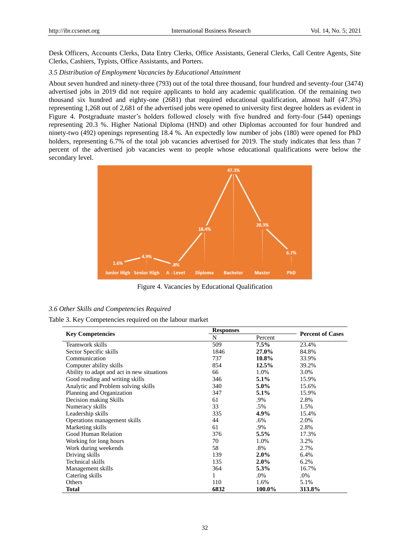Desk Officers, Accounts Clerks, Data Entry Clerks, Office Assistants, General Clerks, Call Centre Agents, Site Clerks, Cashiers, Typists, Office Assistants, and Porters.

# *3.5 Distribution of Employment Vacancies by Educational Attainment*

About seven hundred and ninety-three (793) out of the total three thousand, four hundred and seventy-four (3474) advertised jobs in 2019 did not require applicants to hold any academic qualification. Of the remaining two thousand six hundred and eighty-one (2681) that required educational qualification, almost half (47.3%) representing 1,268 out of 2,681 of the advertised jobs were opened to university first degree holders as evident in Figure 4. Postgraduate master's holders followed closely with five hundred and forty-four (544) openings representing 20.3 %. Higher National Diploma (HND) and other Diplomas accounted for four hundred and ninety-two (492) openings representing 18.4 %. An expectedly low number of jobs (180) were opened for PhD holders, representing 6.7% of the total job vacancies advertised for 2019. The study indicates that less than 7 percent of the advertised job vacancies went to people whose educational qualifications were below the secondary level.



Figure 4. Vacancies by Educational Qualification

## *3.6 Other Skills and Competencies Required*

|                                            | <b>Responses</b> |         | <b>Percent of Cases</b> |  |
|--------------------------------------------|------------------|---------|-------------------------|--|
| <b>Key Competencies</b>                    | N                | Percent |                         |  |
| Teamwork skills                            | 509              | 7.5%    | 23.4%                   |  |
| Sector Specific skills                     | 1846             | 27.0%   | 84.8%                   |  |
| Communication                              | 737              | 10.8%   | 33.9%                   |  |
| Computer ability skills                    | 854              | 12.5%   | 39.2%                   |  |
| Ability to adapt and act in new situations | 66               | 1.0%    | 3.0%                    |  |
| Good reading and writing skills            | 346              | $5.1\%$ | 15.9%                   |  |
| Analytic and Problem solving skills        | 340              | 5.0%    | 15.6%                   |  |
| Planning and Organization                  | 347              | $5.1\%$ | 15.9%                   |  |
| Decision making Skills                     | 61               | .9%     | 2.8%                    |  |
| Numeracy skills                            | 33               | .5%     | 1.5%                    |  |
| Leadership skills                          | 335              | 4.9%    | 15.4%                   |  |
| Operations management skills               | 44               | .6%     | 2.0%                    |  |
| Marketing skills                           | 61               | .9%     | 2.8%                    |  |
| Good Human Relation                        | 376              | $5.5\%$ | 17.3%                   |  |
| Working for long hours                     | 70               | 1.0%    | 3.2%                    |  |
| Work during weekends                       | 58               | .8%     | 2.7%                    |  |
| Driving skills                             | 139              | $2.0\%$ | 6.4%                    |  |
| Technical skills                           | 135              | $2.0\%$ | 6.2%                    |  |
| Management skills                          | 364              | 5.3%    | 16.7%                   |  |
| Catering skills                            | 1                | .0%     | .0%                     |  |
| Others                                     | 110              | 1.6%    | 5.1%                    |  |
| Total                                      | 6832             | 100.0%  | 313.8%                  |  |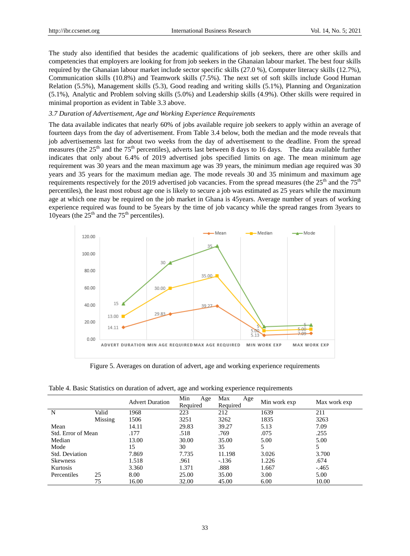The study also identified that besides the academic qualifications of job seekers, there are other skills and competencies that employers are looking for from job seekers in the Ghanaian labour market. The best four skills required by the Ghanaian labour market include sector specific skills (27.0 %), Computer literacy skills (12.7%), Communication skills (10.8%) and Teamwork skills (7.5%). The next set of soft skills include Good Human Relation (5.5%), Management skills (5.3), Good reading and writing skills (5.1%), Planning and Organization (5.1%), Analytic and Problem solving skills (5.0%) and Leadership skills (4.9%). Other skills were required in minimal proportion as evident in Table 3.3 above.

## *3.7 Duration of Advertisement, Age and Working Experience Requirements*

The data available indicates that nearly 60% of jobs available require job seekers to apply within an average of fourteen days from the day of advertisement. From Table 3.4 below, both the median and the mode reveals that job advertisements last for about two weeks from the day of advertisement to the deadline. From the spread measures (the  $25<sup>th</sup>$  and the  $75<sup>th</sup>$  percentiles), adverts last between 8 days to 16 days. The data available further indicates that only about 6.4% of 2019 advertised jobs specified limits on age. The mean minimum age requirement was 30 years and the mean maximum age was 39 years, the minimum median age required was 30 years and 35 years for the maximum median age. The mode reveals 30 and 35 minimum and maximum age requirements respectively for the 2019 advertised job vacancies. From the spread measures (the  $25<sup>th</sup>$  and the  $75<sup>th</sup>$ percentiles), the least most robust age one is likely to secure a job was estimated as 25 years while the maximum age at which one may be required on the job market in Ghana is 45years. Average number of years of working experience required was found to be 5years by the time of job vacancy while the spread ranges from 3years to 10years (the  $25<sup>th</sup>$  and the 75<sup>th</sup> percentiles).



Figure 5. Averages on duration of advert, age and working experience requirements

Table 4. Basic Statistics on duration of advert, age and working experience requirements

|                    |         | <b>Advert Duration</b> | Min<br>Age | Max<br>Age | Min work exp | Max work exp |
|--------------------|---------|------------------------|------------|------------|--------------|--------------|
|                    |         |                        | Required   | Required   |              |              |
| N                  | Valid   | 1968                   | 223        | 212        | 1639         | 211          |
|                    | Missing | 1506                   | 3251       | 3262       | 1835         | 3263         |
| Mean               |         | 14.11                  | 29.83      | 39.27      | 5.13         | 7.09         |
| Std. Error of Mean |         | .177                   | .518       | .769       | .075         | .255         |
| Median             |         | 13.00                  | 30.00      | 35.00      | 5.00         | 5.00         |
| Mode               |         | 15                     | 30         | 35         |              | 5            |
| Std. Deviation     |         | 7.869                  | 7.735      | 11.198     | 3.026        | 3.700        |
| <b>Skewness</b>    |         | 1.518                  | .961       | $-136$     | 1.226        | .674         |
| Kurtosis           |         | 3.360                  | 1.371      | .888       | 1.667        | $-465$       |
| Percentiles        | 25      | 8.00                   | 25.00      | 35.00      | 3.00         | 5.00         |
|                    | 75      | 16.00                  | 32.00      | 45.00      | 6.00         | 10.00        |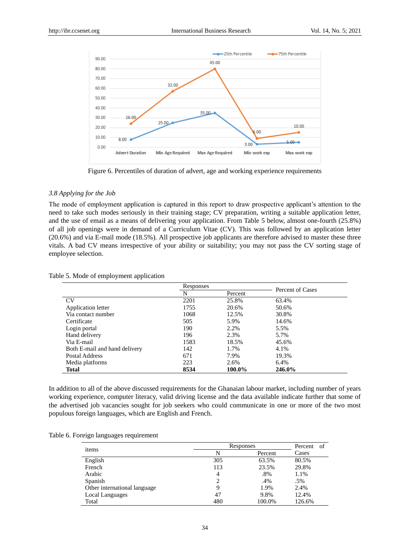

Figure 6. Percentiles of duration of advert, age and working experience requirements

#### *3.8 Applying for the Job*

The mode of employment application is captured in this report to draw prospective applicant's attention to the need to take such modes seriously in their training stage; CV preparation, writing a suitable application letter, and the use of email as a means of delivering your application. From Table 5 below, almost one-fourth (25.8%) of all job openings were in demand of a Curriculum Vitae (CV). This was followed by an application letter (20.6%) and via E-mail mode (18.5%). All prospective job applicants are therefore advised to master these three vitals. A bad CV means irrespective of your ability or suitability; you may not pass the CV sorting stage of employee selection.

|                               | Responses |         | Percent of Cases |  |
|-------------------------------|-----------|---------|------------------|--|
|                               | N         | Percent |                  |  |
| <b>CV</b>                     | 2201      | 25.8%   | 63.4%            |  |
| Application letter            | 1755      | 20.6%   | 50.6%            |  |
| Via contact number            | 1068      | 12.5%   | 30.8%            |  |
| Certificate                   | 505       | 5.9%    | 14.6%            |  |
| Login portal                  | 190       | 2.2%    | 5.5%             |  |
| Hand delivery                 | 196       | 2.3%    | 5.7%             |  |
| Via E-mail                    | 1583      | 18.5%   | 45.6%            |  |
| Both E-mail and hand delivery | 142       | 1.7%    | 4.1%             |  |
| Postal Address                | 671       | 7.9%    | 19.3%            |  |
| Media platforms               | 223       | 2.6%    | 6.4%             |  |
| <b>Total</b>                  | 8534      | 100.0%  | 246.0%           |  |

#### Table 5. Mode of employment application

In addition to all of the above discussed requirements for the Ghanaian labour market, including number of years working experience, computer literacy, valid driving license and the data available indicate further that some of the advertised job vacancies sought for job seekers who could communicate in one or more of the two most populous foreign languages, which are English and French.

|  | Table 6. Foreign languages requirement |
|--|----------------------------------------|
|  |                                        |

|                              | Responses | Percent<br>- of |        |
|------------------------------|-----------|-----------------|--------|
| items                        |           | Percent         | Cases  |
| English                      | 305       | 63.5%           | 80.5%  |
| French                       | 113       | 23.5%           | 29.8%  |
| Arabic                       | 4         | .8%             | 1.1%   |
| Spanish                      |           | .4%             | .5%    |
| Other international language |           | 1.9%            | 2.4%   |
| Local Languages              | 47        | 9.8%            | 12.4%  |
| Total                        | 480       | 100.0%          | 126.6% |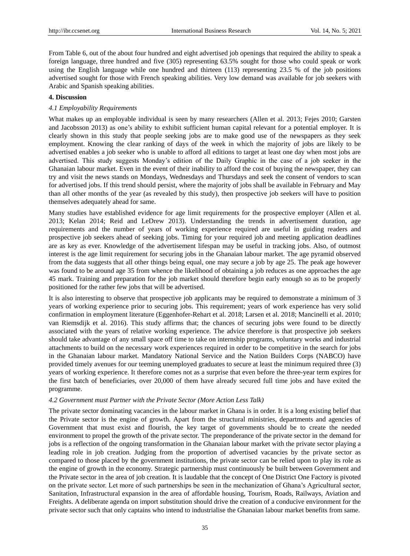From Table 6, out of the about four hundred and eight advertised job openings that required the ability to speak a foreign language, three hundred and five (305) representing 63.5% sought for those who could speak or work using the English language while one hundred and thirteen (113) representing 23.5 % of the job positions advertised sought for those with French speaking abilities. Very low demand was available for job seekers with Arabic and Spanish speaking abilities.

# **4. Discussion**

## *4.1 Employability Requirements*

What makes up an employable individual is seen by many researchers (Allen et al. 2013; Fejes 2010; Garsten and Jacobsson 2013) as one's ability to exhibit sufficient human capital relevant for a potential employer. It is clearly shown in this study that people seeking jobs are to make good use of the newspapers as they seek employment. Knowing the clear ranking of days of the week in which the majority of jobs are likely to be advertised enables a job seeker who is unable to afford all editions to target at least one day when most jobs are advertised. This study suggests Monday's edition of the Daily Graphic in the case of a job seeker in the Ghanaian labour market. Even in the event of their inability to afford the cost of buying the newspaper, they can try and visit the news stands on Mondays, Wednesdays and Thursdays and seek the consent of vendors to scan for advertised jobs. If this trend should persist, where the majority of jobs shall be available in February and May than all other months of the year (as revealed by this study), then prospective job seekers will have to position themselves adequately ahead for same.

Many studies have established evidence for age limit requirements for the prospective employer (Allen et al. 2013; Kelan 2014; Reid and LeDrew 2013). Understanding the trends in advertisement duration, age requirements and the number of years of working experience required are useful in guiding readers and prospective job seekers ahead of seeking jobs. Timing for your required job and meeting application deadlines are as key as ever. Knowledge of the advertisement lifespan may be useful in tracking jobs. Also, of outmost interest is the age limit requirement for securing jobs in the Ghanaian labour market. The age pyramid observed from the data suggests that all other things being equal, one may secure a job by age 25. The peak age however was found to be around age 35 from whence the likelihood of obtaining a job reduces as one approaches the age 45 mark. Training and preparation for the job market should therefore begin early enough so as to be properly positioned for the rather few jobs that will be advertised.

It is also interesting to observe that prospective job applicants may be required to demonstrate a minimum of 3 years of working experience prior to securing jobs. This requirement; years of work experience has very solid confirmation in employment literature (Eggenhofer-Rehart et al. 2018; Larsen et al. 2018; Mancinelli et al. 2010; van Riemsdijk et al. 2016). This study affirms that; the chances of securing jobs were found to be directly associated with the years of relative working experience. The advice therefore is that prospective job seekers should take advantage of any small space off time to take on internship programs, voluntary works and industrial attachments to build on the necessary work experiences required in order to be competitive in the search for jobs in the Ghanaian labour market. Mandatory National Service and the Nation Builders Corps (NABCO) have provided timely avenues for our teeming unemployed graduates to secure at least the minimum required three (3) years of working experience. It therefore comes not as a surprise that even before the three-year term expires for the first batch of beneficiaries, over 20,000 of them have already secured full time jobs and have exited the programme.

## *4.2 Government must Partner with the Private Sector (More Action Less Talk)*

The private sector dominating vacancies in the labour market in Ghana is in order. It is a long existing belief that the Private sector is the engine of growth. Apart from the structural ministries, departments and agencies of Government that must exist and flourish, the key target of governments should be to create the needed environment to propel the growth of the private sector. The preponderance of the private sector in the demand for jobs is a reflection of the ongoing transformation in the Ghanaian labour market with the private sector playing a leading role in job creation. Judging from the proportion of advertised vacancies by the private sector as compared to those placed by the government institutions, the private sector can be relied upon to play its role as the engine of growth in the economy. Strategic partnership must continuously be built between Government and the Private sector in the area of job creation. It is laudable that the concept of One District One Factory is pivoted on the private sector. Let more of such partnerships be seen in the mechanization of Ghana's Agricultural sector, Sanitation, Infrastructural expansion in the area of affordable housing, Tourism, Roads, Railways, Aviation and Freights. A deliberate agenda on import substitution should drive the creation of a conducive environment for the private sector such that only captains who intend to industrialise the Ghanaian labour market benefits from same.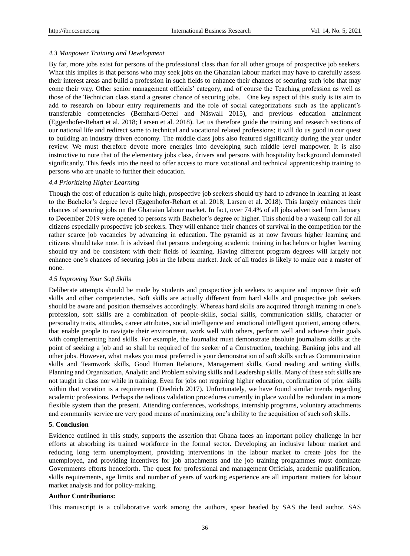## *4.3 Manpower Training and Development*

By far, more jobs exist for persons of the professional class than for all other groups of prospective job seekers. What this implies is that persons who may seek jobs on the Ghanaian labour market may have to carefully assess their interest areas and build a profession in such fields to enhance their chances of securing such jobs that may come their way. Other senior management officials' category, and of course the Teaching profession as well as those of the Technician class stand a greater chance of securing jobs. One key aspect of this study is its aim to add to research on labour entry requirements and the role of social categorizations such as the applicant's transferable competencies (Bernhard-Oettel and Näswall 2015), and previous education attainment (Eggenhofer-Rehart et al. 2018; Larsen et al. 2018). Let us therefore guide the training and research sections of our national life and redirect same to technical and vocational related professions; it will do us good in our quest to building an industry driven economy. The middle class jobs also featured significantly during the year under review. We must therefore devote more energies into developing such middle level manpower. It is also instructive to note that of the elementary jobs class, drivers and persons with hospitality background dominated significantly. This feeds into the need to offer access to more vocational and technical apprenticeship training to persons who are unable to further their education.

#### *4.4 Prioritizing Higher Learning*

Though the cost of education is quite high, prospective job seekers should try hard to advance in learning at least to the Bachelor's degree level (Eggenhofer-Rehart et al. 2018; Larsen et al. 2018). This largely enhances their chances of securing jobs on the Ghanaian labour market. In fact, over 74.4% of all jobs advertised from January to December 2019 were opened to persons with Bachelor's degree or higher. This should be a wakeup call for all citizens especially prospective job seekers. They will enhance their chances of survival in the competition for the rather scarce job vacancies by advancing in education. The pyramid as at now favours higher learning and citizens should take note. It is advised that persons undergoing academic training in bachelors or higher learning should try and be consistent with their fields of learning. Having different program degrees will largely not enhance one's chances of securing jobs in the labour market. Jack of all trades is likely to make one a master of none.

## *4.5 Improving Your Soft Skills*

Deliberate attempts should be made by students and prospective job seekers to acquire and improve their soft skills and other competencies. Soft skills are actually different from hard skills and prospective job seekers should be aware and position themselves accordingly. Whereas hard skills are acquired through training in one's profession, soft skills are a combination of people-skills, social skills, communication skills, character or personality traits, attitudes, career attributes, social intelligence and emotional intelligent quotient, among others, that enable people to navigate their environment, work well with others, perform well and achieve their goals with complementing hard skills. For example, the Journalist must demonstrate absolute journalism skills at the point of seeking a job and so shall be required of the seeker of a Construction, teaching, Banking jobs and all other jobs. However, what makes you most preferred is your demonstration of soft skills such as Communication skills and Teamwork skills, Good Human Relations, Management skills, Good reading and writing skills, Planning and Organization, Analytic and Problem solving skills and Leadership skills. Many of these soft skills are not taught in class nor while in training. Even for jobs not requiring higher education, confirmation of prior skills within that vocation is a requirement (Diedrich 2017). Unfortunately, we have found similar trends regarding academic professions. Perhaps the tedious validation procedures currently in place would be redundant in a more flexible system than the present. Attending conferences, workshops, internship programs, voluntary attachments and community service are very good means of maximizing one's ability to the acquisition of such soft skills.

#### **5. Conclusion**

Evidence outlined in this study, supports the assertion that Ghana faces an important policy challenge in her efforts at absorbing its trained workforce in the formal sector. Developing an inclusive labour market and reducing long term unemployment, providing interventions in the labour market to create jobs for the unemployed, and providing incentives for job attachments and the job training programmes must dominate Governments efforts henceforth. The quest for professional and management Officials, academic qualification, skills requirements, age limits and number of years of working experience are all important matters for labour market analysis and for policy-making.

## **Author Contributions:**

This manuscript is a collaborative work among the authors, spear headed by SAS the lead author. SAS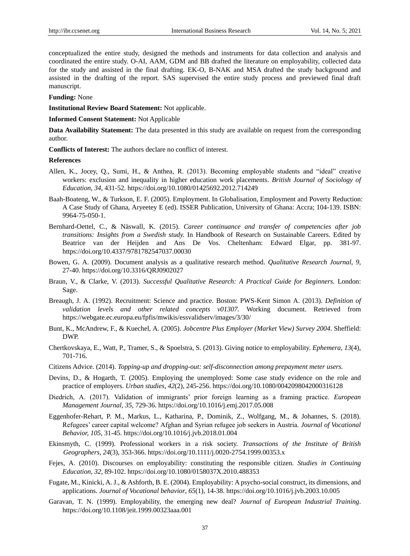conceptualized the entire study, designed the methods and instruments for data collection and analysis and coordinated the entire study. O-AI, AAM, GDM and BB drafted the literature on employability, collected data for the study and assisted in the final drafting. EK-O, B-NAK and MSA drafted the study background and assisted in the drafting of the report. SAS supervised the entire study process and previewed final draft manuscript.

## **Funding:** None

**Institutional Review Board Statement:** Not applicable.

**Informed Consent Statement:** Not Applicable

**Data Availability Statement:** The data presented in this study are available on request from the corresponding author.

**Conflicts of Interest:** The authors declare no conflict of interest.

## **References**

- Allen, K., Jocey, Q., Sumi, H., & Anthea, R. (2013). Becoming employable students and "ideal" creative workers: exclusion and inequality in higher education work placements. *British Journal of Sociology of Education, 34,* 431-52. https://doi.org/10.1080/01425692.2012.714249
- Baah-Boateng, W., & Turkson, E. F. (2005). Employment. In Globalisation, Employment and Poverty Reduction: A Case Study of Ghana, Aryeetey E (ed). ISSER Publication, University of Ghana: Accra; 104-139. ISBN: 9964-75-050-1.
- Bernhard-Oettel, C., & Näswall, K. (2015). *Career continuance and transfer of competencies after job transitions: Insights from a Swedish study.* In Handbook of Research on Sustainable Careers. Edited by Beatrice van der Heijden and Ans De Vos. Cheltenham: Edward Elgar, pp. 381-97. https://doi.org/10.4337/9781782547037.00030
- Bowen, G. A. (2009). Document analysis as a qualitative research method. *Qualitative Research Journal, 9,*  27-40. https://doi.org/10.3316/QRJ0902027
- Braun, V., & Clarke, V. (2013). *Successful Qualitative Research: A Practical Guide for Beginners.* London: Sage.
- Breaugh, J. A. (1992). Recruitment: Science and practice. Boston: PWS-Kent Simon A. (2013). *Definition of validation levels and other related concepts v01307.* Working document. Retrieved from https://webgate.ec.europa.eu/fpfis/mwikis/essvalidserv/images/3/30/
- Bunt, K., McAndrew, F., & Kuechel, A. (2005). *Jobcentre Plus Employer (Market View) Survey 2004*. Sheffield: DWP.
- Chertkovskaya, E., Watt, P., Tramer, S., & Spoelstra, S. (2013). Giving notice to employability. *Ephemera, 13*(4), 701-716.
- Citizens Advice. (2014). *Topping-up and dropping-out: self-disconnection among prepayment meter users.*
- Devins, D., & Hogarth, T. (2005). Employing the unemployed: Some case study evidence on the role and practice of employers. *Urban studies*, *42*(2), 245-256. https://doi.org/10.1080/0042098042000316128
- Diedrich, A. (2017). Validation of immigrants' prior foreign learning as a framing practice. *European Management Journal, 35,* 729-36. https://doi.org/10.1016/j.emj.2017.05.008
- Eggenhofer-Rehart, P. M., Markus, L., Katharina, P., Dominik, Z., Wolfgang, M., & Johannes, S. (2018). Refugees' career capital welcome? Afghan and Syrian refugee job seekers in Austria. *Journal of Vocational Behavior, 105,* 31-45. https://doi.org/10.1016/j.jvb.2018.01.004
- Ekinsmyth, C. (1999). Professional workers in a risk society. *Transactions of the Institute of British Geographers*, *24*(3), 353-366. https://doi.org/10.1111/j.0020-2754.1999.00353.x
- Fejes, A. (2010). Discourses on employability: constituting the responsible citizen. *Studies in Continuing Education, 32,* 89-102. https://doi.org/10.1080/0158037X.2010.488353
- Fugate, M., Kinicki, A. J., & Ashforth, B. E. (2004). Employability: A psycho-social construct, its dimensions, and applications. *Journal of Vocational behavior*, *65*(1), 14-38. https://doi.org/10.1016/j.jvb.2003.10.005
- Garavan, T. N. (1999). Employability, the emerging new deal? *Journal of European Industrial Training*. https://doi.org/10.1108/jeit.1999.00323aaa.001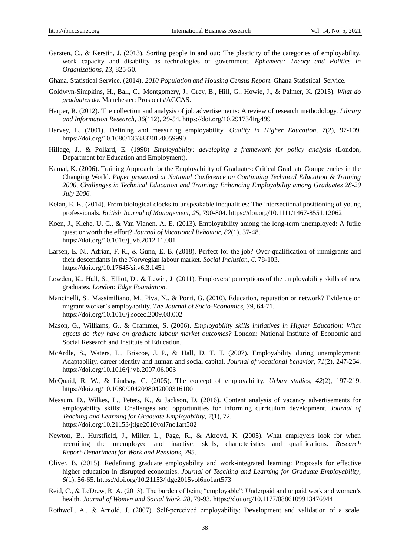- Garsten, C., & Kerstin, J. (2013). Sorting people in and out: The plasticity of the categories of employability, work capacity and disability as technologies of government. *Ephemera: Theory and Politics in Organizations, 13,* 825-50.
- Ghana. Statistical Service. (2014). *2010 Population and Housing Census Report*. Ghana Statistical Service.
- Goldwyn-Simpkins, H., Ball, C., Montgomery, J., Grey, B., Hill, G., Howie, J., & Palmer, K. (2015). *What do graduates do.* Manchester: Prospects/AGCAS.
- Harper, R. (2012). The collection and analysis of job advertisements: A review of research methodology. *Library and Information Research*, *36*(112), 29-54. https://doi.org/10.29173/lirg499
- Harvey, L. (2001). Defining and measuring employability. *Quality in Higher Education, 7*(2), 97-109. https://doi.org/10.1080/13538320120059990
- Hillage, J., & Pollard, E. (1998) *Employability: developing a framework for policy analysis* (London, Department for Education and Employment).
- Kamal, K. (2006). Training Approach for the Employability of Graduates: Critical Graduate Competencies in the Changing World. *Paper presented at National Conference on Continuing Technical Education & Training 2006, Challenges in Technical Education and Training: Enhancing Employability among Graduates 28-29 July 2006.*
- Kelan, E. K. (2014). From biological clocks to unspeakable inequalities: The intersectional positioning of young professionals. *British Journal of Management, 25,* 790-804. https://doi.org/10.1111/1467-8551.12062
- Koen, J., Klehe, U. C., & Van Vianen, A. E. (2013). Employability among the long-term unemployed: A futile quest or worth the effort? *Journal of Vocational Behavior*, *82*(1), 37-48. https://doi.org/10.1016/j.jvb.2012.11.001
- Larsen, E. N., Adrian, F. R., & Gunn, E. B. (2018). Perfect for the job? Over-qualification of immigrants and their descendants in the Norwegian labour market. *Social Inclusion, 6,* 78-103. https://doi.org/10.17645/si.v6i3.1451
- Lowden, K., Hall, S., Elliot, D., & Lewin, J. (2011). Employers' perceptions of the employability skills of new graduates. *London: Edge Foundation*.
- Mancinelli, S., Massimiliano, M., Piva, N., & Ponti, G. (2010). Education, reputation or network? Evidence on migrant worker's employability. *The Journal of Socio-Economics, 39,* 64-71. https://doi.org/10.1016/j.socec.2009.08.002
- Mason, G., Williams, G., & Crammer, S. (2006). *Employability skills initiatives in Higher Education: What effects do they have on graduate labour market outcomes?* London: National Institute of Economic and Social Research and Institute of Education.
- McArdle, S., Waters, L., Briscoe, J. P., & Hall, D. T. T. (2007). Employability during unemployment: Adaptability, career identity and human and social capital. *Journal of vocational behavior*, *71*(2), 247-264. https://doi.org/10.1016/j.jvb.2007.06.003
- McQuaid, R. W., & Lindsay, C. (2005). The concept of employability. *Urban studies*, *42*(2), 197-219. https://doi.org/10.1080/0042098042000316100
- Messum, D., Wilkes, L., Peters, K., & Jackson, D. (2016). Content analysis of vacancy advertisements for employability skills: Challenges and opportunities for informing curriculum development. *Journal of Teaching and Learning for Graduate Employability*, *7*(1), 72. https://doi.org/10.21153/jtlge2016vol7no1art582
- Newton, B., Hurstfield, J., Miller, L., Page, R., & Akroyd, K. (2005). What employers look for when recruiting the unemployed and inactive: skills, characteristics and qualifications. *Research Report-Department for Work and Pensions*, *295*.
- Oliver, B. (2015). Redefining graduate employability and work-integrated learning: Proposals for effective higher education in disrupted economies. *Journal of Teaching and Learning for Graduate Employability*, *6*(1), 56-65. https://doi.org/10.21153/jtlge2015vol6no1art573
- Reid, C., & LeDrew, R. A. (2013). The burden of being "employable": Underpaid and unpaid work and women's health. *Journal of Women and Social Work, 28*, 79-93. https://doi.org/10.1177/0886109913476944
- Rothwell, A., & Arnold, J. (2007). Self-perceived employability: Development and validation of a scale.